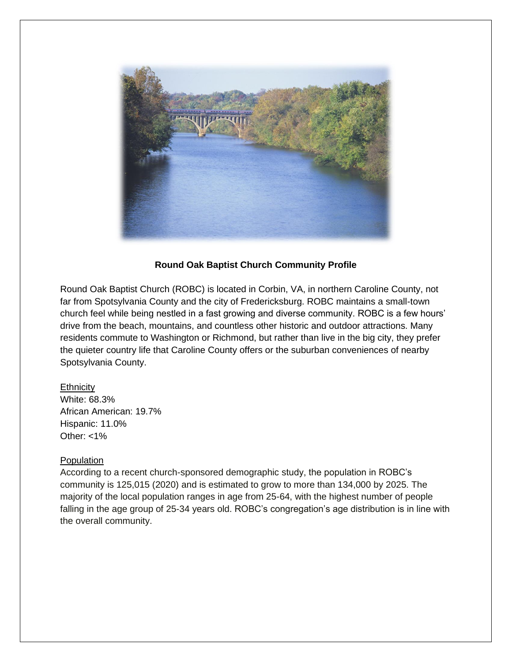

# **Round Oak Baptist Church Community Profile**

Round Oak Baptist Church (ROBC) is located in Corbin, VA, in northern Caroline County, not far from Spotsylvania County and the city of Fredericksburg. ROBC maintains a small-town church feel while being nestled in a fast growing and diverse community. ROBC is a few hours' drive from the beach, mountains, and countless other historic and outdoor attractions. Many residents commute to Washington or Richmond, but rather than live in the big city, they prefer the quieter country life that Caroline County offers or the suburban conveniences of nearby Spotsylvania County.

#### **Ethnicity**

White: 68.3% African American: 19.7% Hispanic: 11.0% Other: <1%

#### **Population**

According to a recent church-sponsored demographic study, the population in ROBC's community is 125,015 (2020) and is estimated to grow to more than 134,000 by 2025. The majority of the local population ranges in age from 25-64, with the highest number of people falling in the age group of 25-34 years old. ROBC's congregation's age distribution is in line with the overall community.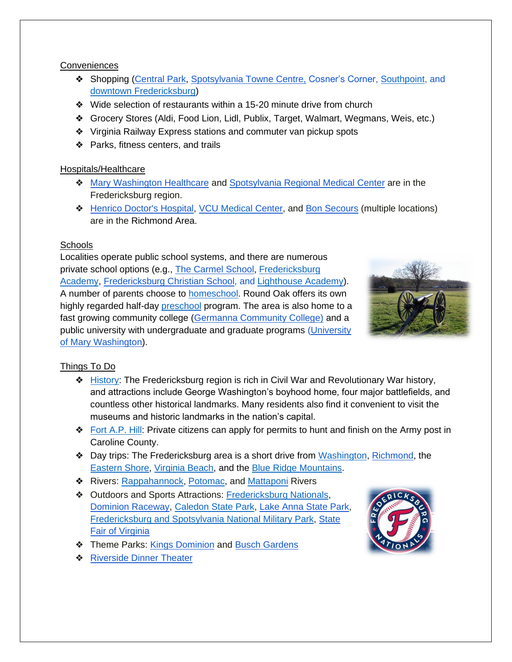#### **Conveniences**

- ❖ Shopping [\(Central Park,](https://www.shopatcentralpark.com/) [Spotsylvania Towne](https://www.spotsylvaniatownecentre.com/) Centre, Cosner's Corner, [Southpoint,](https://wjvakos.com/southpoint-i-%26-ii) and [downtown Fredericksburg\)](https://visitfred.com/shopping/)
- ❖ Wide selection of restaurants within a 15-20 minute drive from church
- ❖ Grocery Stores (Aldi, Food Lion, Lidl, Publix, Target, Walmart, Wegmans, Weis, etc.)
- ❖ Virginia Railway Express stations and commuter van pickup spots
- ❖ Parks, fitness centers, and trails

# Hospitals/Healthcare

- ❖ [Mary Washington Healthcare](https://www.marywashingtonhealthcare.com/) and [Spotsylvania Regional Medical Center](https://hcavirginia.com/locations/spotsylvania/) are in the Fredericksburg region.
- ❖ [Henrico Doctor's Hospital,](https://hcavirginia.com/locations/henrico-doctors/) VCU [Medical](https://www.vcuhealth.org/) Center, and [Bon Secours](http://www.bonsecours.com/) (multiple locations) are in the Richmond Area.

# **Schools**

Localities operate public school systems, and there are numerous private school options (e.g., [The Carmel School,](https://www.thecarmelschool.org/) Fredericksburg [Academy,](https://www.fredericksburgacademy.org/) [Fredericksburg Christian School,](https://fredericksburgchristian.com/) and [Lighthouse Academy\)](https://kidslaf.com/). A number of parents choose to [homeschool.](https://www.fahahome.com/) Round Oak offers its own highly regarded half-day [preschool](https://www.roundoakchurch.org/preschool) program. The area is also home to a fast growing community college [\(Germanna Community College\)](https://www.germanna.edu/) and a public university with undergraduate and graduate programs [\(University](https://www.umw.edu/)  [of Mary Washington\)](https://www.umw.edu/).



# Things To Do

- ❖ [History:](https://visitfred.com/) The Fredericksburg region is rich in Civil War and Revolutionary War history, and attractions include George Washington's boyhood home, four major battlefields, and countless other historical landmarks. Many residents also find it convenient to visit the museums and historic landmarks in the nation's capital.
- ❖ [Fort A.P. Hill:](https://faph.isportsman.net/) Private citizens can apply for permits to hunt and finish on the Army post in Caroline County.
- ❖ Day trips: The Fredericksburg area is a short drive from [Washington,](https://washington.org/) [Richmond,](https://www.visitrichmondva.com/) the [Eastern Shore,](https://visitesva.com/) [Virginia Beach,](https://www.visitvirginiabeach.com/) and the [Blue Ridge Mountains.](https://www.virginia.org/things-to-do/outdoors/mountains)
- ◆ Rivers: [Rappahannock,](https://www.dcr.virginia.gov/aboutus) [Potomac,](https://potomac.org/101-recreation) and [Mattaponi](https://dwr.virginia.gov/wma/mattaponi/) Rivers
- ❖ Outdoors and Sports Attractions: [Fredericksburg Nationals,](https://www.milb.com/fredericksburg) [Dominion Raceway,](https://www.dominionraceway.com/) [Caledon State Park,](https://www.dcr.virginia.gov/state-parks/caledon) [Lake Anna State Park,](https://www.dcr.virginia.gov/state-parks/lake-anna) [Fredericksburg and Spotsylvania National Military Park,](https://www.nps.gov/frsp/index.htm) [State](https://www.statefairva.org/)  [Fair of Virginia](https://www.statefairva.org/)
- ❖ Theme Parks: [Kings Dominion](https://www.kingsdominion.com/?launch=accesso) and [Busch Gardens](https://buschgardens.com/)
- **❖ [Riverside Dinner Theater](https://www.riversidedt.com/)**